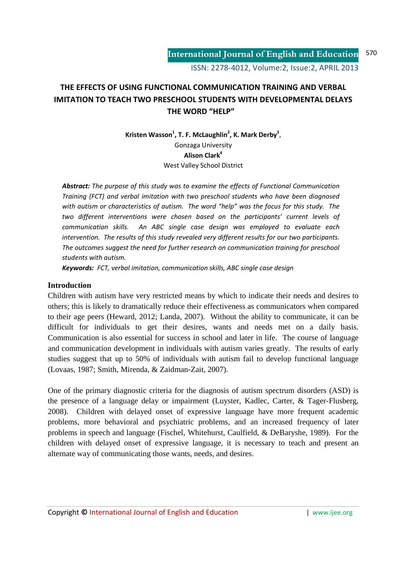# **THE EFFECTS OF USING FUNCTIONAL COMMUNICATION TRAINING AND VERBAL IMITATION TO TEACH TWO PRESCHOOL STUDENTS WITH DEVELOPMENTAL DELAYS THE WORD "HELP"**

Kristen Wasson<sup>1</sup>, T. F. McLaughlin<sup>2</sup>, K. Mark Derby<sup>3</sup>, Gonzaga University **Alison Clark<sup>4</sup>** West Valley School District

*Abstract: The purpose of this study was to examine the effects of Functional Communication Training (FCT) and verbal imitation with two preschool students who have been diagnosed with autism or characteristics of autism. The word "help" was the focus for this study. The two different interventions were chosen based on the participants' current levels of communication skills. An ABC single case design was employed to evaluate each intervention. The results of this study revealed very different results for our two participants. The outcomes suggest the need for further research on communication training for preschool students with autism.* 

*Keywords: FCT, verbal imitation, communication skills, ABC single case design* 

# **Introduction**

Children with autism have very restricted means by which to indicate their needs and desires to others; this is likely to dramatically reduce their effectiveness as communicators when compared to their age peers (Heward, 2012; Landa, 2007). Without the ability to communicate, it can be difficult for individuals to get their desires, wants and needs met on a daily basis. Communication is also essential for success in school and later in life. The course of language and communication development in individuals with autism varies greatly. The results of early studies suggest that up to 50% of individuals with autism fail to develop functional language (Lovaas, 1987; Smith, Mirenda, & Zaidman-Zait, 2007).

One of the primary diagnostic criteria for the diagnosis of autism spectrum disorders (ASD) is the presence of a language delay or impairment (Luyster, Kadlec, Carter, & Tager-Flusberg, 2008). Children with delayed onset of expressive language have more frequent academic problems, more behavioral and psychiatric problems, and an increased frequency of later problems in speech and language (Fischel, Whitehurst, Caulfield, & DeBaryshe, 1989). For the children with delayed onset of expressive language, it is necessary to teach and present an alternate way of communicating those wants, needs, and desires.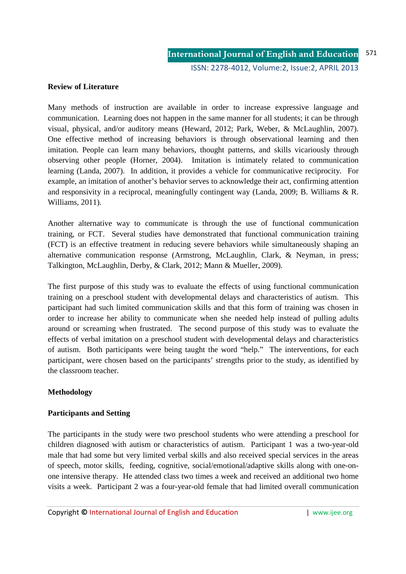# **Review of Literature**

Many methods of instruction are available in order to increase expressive language and communication. Learning does not happen in the same manner for all students; it can be through visual, physical, and/or auditory means (Heward, 2012; Park, Weber, & McLaughlin, 2007). One effective method of increasing behaviors is through observational learning and then imitation. People can learn many behaviors, thought patterns, and skills vicariously through observing other people (Horner, 2004). Imitation is intimately related to communication learning (Landa, 2007). In addition, it provides a vehicle for communicative reciprocity. For example, an imitation of another's behavior serves to acknowledge their act, confirming attention and responsivity in a reciprocal, meaningfully contingent way (Landa, 2009; B. Williams & R. Williams, 2011).

Another alternative way to communicate is through the use of functional communication training, or FCT. Several studies have demonstrated that functional communication training (FCT) is an effective treatment in reducing severe behaviors while simultaneously shaping an alternative communication response (Armstrong, McLaughlin, Clark, & Neyman, in press; Talkington, McLaughlin, Derby, & Clark, 2012; Mann & Mueller, 2009).

The first purpose of this study was to evaluate the effects of using functional communication training on a preschool student with developmental delays and characteristics of autism. This participant had such limited communication skills and that this form of training was chosen in order to increase her ability to communicate when she needed help instead of pulling adults around or screaming when frustrated. The second purpose of this study was to evaluate the effects of verbal imitation on a preschool student with developmental delays and characteristics of autism. Both participants were being taught the word "help." The interventions, for each participant, were chosen based on the participants' strengths prior to the study, as identified by the classroom teacher.

### **Methodology**

### **Participants and Setting**

The participants in the study were two preschool students who were attending a preschool for children diagnosed with autism or characteristics of autism. Participant 1 was a two-year-old male that had some but very limited verbal skills and also received special services in the areas of speech, motor skills, feeding, cognitive, social/emotional/adaptive skills along with one-onone intensive therapy. He attended class two times a week and received an additional two home visits a week. Participant 2 was a four-year-old female that had limited overall communication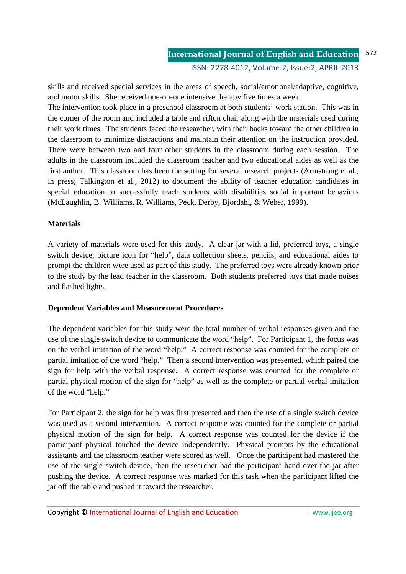skills and received special services in the areas of speech, social/emotional/adaptive, cognitive, and motor skills. She received one-on-one intensive therapy five times a week.

The intervention took place in a preschool classroom at both students' work station. This was in the corner of the room and included a table and rifton chair along with the materials used during their work times. The students faced the researcher, with their backs toward the other children in the classroom to minimize distractions and maintain their attention on the instruction provided. There were between two and four other students in the classroom during each session. The adults in the classroom included the classroom teacher and two educational aides as well as the first author. This classroom has been the setting for several research projects (Armstrong et al., in press; Talkington et al., 2012) to document the ability of teacher education candidates in special education to successfully teach students with disabilities social important behaviors (McLaughlin, B. Williams, R. Williams, Peck, Derby, Bjordahl, & Weber, 1999).

### **Materials**

A variety of materials were used for this study. A clear jar with a lid, preferred toys, a single switch device, picture icon for "help", data collection sheets, pencils, and educational aides to prompt the children were used as part of this study. The preferred toys were already known prior to the study by the lead teacher in the classroom. Both students preferred toys that made noises and flashed lights.

# **Dependent Variables and Measurement Procedures**

The dependent variables for this study were the total number of verbal responses given and the use of the single switch device to communicate the word "help". For Participant 1, the focus was on the verbal imitation of the word "help." A correct response was counted for the complete or partial imitation of the word "help." Then a second intervention was presented, which paired the sign for help with the verbal response. A correct response was counted for the complete or partial physical motion of the sign for "help" as well as the complete or partial verbal imitation of the word "help."

For Participant 2, the sign for help was first presented and then the use of a single switch device was used as a second intervention. A correct response was counted for the complete or partial physical motion of the sign for help. A correct response was counted for the device if the participant physical touched the device independently. Physical prompts by the educational assistants and the classroom teacher were scored as well. Once the participant had mastered the use of the single switch device, then the researcher had the participant hand over the jar after pushing the device. A correct response was marked for this task when the participant lifted the jar off the table and pushed it toward the researcher.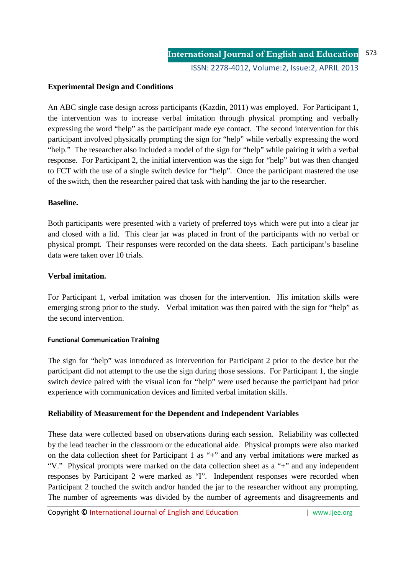## **Experimental Design and Conditions**

An ABC single case design across participants (Kazdin, 2011) was employed. For Participant 1, the intervention was to increase verbal imitation through physical prompting and verbally expressing the word "help" as the participant made eye contact. The second intervention for this participant involved physically prompting the sign for "help" while verbally expressing the word "help." The researcher also included a model of the sign for "help" while pairing it with a verbal response. For Participant 2, the initial intervention was the sign for "help" but was then changed to FCT with the use of a single switch device for "help". Once the participant mastered the use of the switch, then the researcher paired that task with handing the jar to the researcher.

#### **Baseline.**

Both participants were presented with a variety of preferred toys which were put into a clear jar and closed with a lid. This clear jar was placed in front of the participants with no verbal or physical prompt. Their responses were recorded on the data sheets. Each participant's baseline data were taken over 10 trials.

### **Verbal imitation.**

For Participant 1, verbal imitation was chosen for the intervention. His imitation skills were emerging strong prior to the study. Verbal imitation was then paired with the sign for "help" as the second intervention.

#### **Functional Communication Training**

The sign for "help" was introduced as intervention for Participant 2 prior to the device but the participant did not attempt to the use the sign during those sessions. For Participant 1, the single switch device paired with the visual icon for "help" were used because the participant had prior experience with communication devices and limited verbal imitation skills.

### **Reliability of Measurement for the Dependent and Independent Variables**

These data were collected based on observations during each session. Reliability was collected by the lead teacher in the classroom or the educational aide. Physical prompts were also marked on the data collection sheet for Participant 1 as "+" and any verbal imitations were marked as "V." Physical prompts were marked on the data collection sheet as a "+" and any independent responses by Participant 2 were marked as "I". Independent responses were recorded when Participant 2 touched the switch and/or handed the jar to the researcher without any prompting. The number of agreements was divided by the number of agreements and disagreements and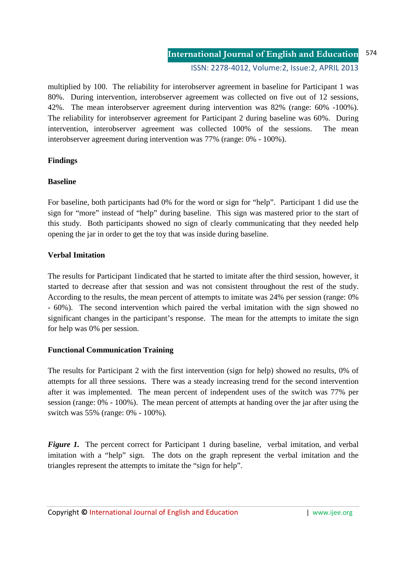multiplied by 100. The reliability for interobserver agreement in baseline for Participant 1 was 80%. During intervention, interobserver agreement was collected on five out of 12 sessions, 42%. The mean interobserver agreement during intervention was 82% (range: 60% -100%). The reliability for interobserver agreement for Participant 2 during baseline was 60%. During intervention, interobserver agreement was collected 100% of the sessions. The mean interobserver agreement during intervention was 77% (range: 0% - 100%).

# **Findings**

# **Baseline**

For baseline, both participants had 0% for the word or sign for "help". Participant 1 did use the sign for "more" instead of "help" during baseline. This sign was mastered prior to the start of this study. Both participants showed no sign of clearly communicating that they needed help opening the jar in order to get the toy that was inside during baseline.

# **Verbal Imitation**

The results for Participant 1indicated that he started to imitate after the third session, however, it started to decrease after that session and was not consistent throughout the rest of the study. According to the results, the mean percent of attempts to imitate was 24% per session (range: 0% - 60%). The second intervention which paired the verbal imitation with the sign showed no significant changes in the participant's response. The mean for the attempts to imitate the sign for help was 0% per session.

# **Functional Communication Training**

The results for Participant 2 with the first intervention (sign for help) showed no results, 0% of attempts for all three sessions. There was a steady increasing trend for the second intervention after it was implemented. The mean percent of independent uses of the switch was 77% per session (range: 0% - 100%). The mean percent of attempts at handing over the jar after using the switch was 55% (range: 0% - 100%).

*Figure 1.* The percent correct for Participant 1 during baseline, verbal imitation, and verbal imitation with a "help" sign. The dots on the graph represent the verbal imitation and the triangles represent the attempts to imitate the "sign for help".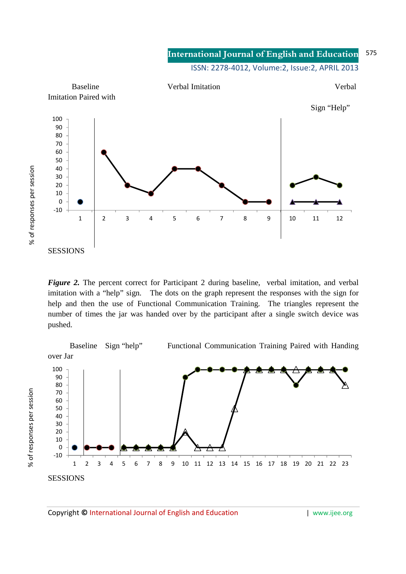#### **International Journal of English and Education** ISSN: 2278-4012, Volume:2, Issue:2, APRIL 2013 575



*Figure 2.* The percent correct for Participant 2 during baseline, verbal imitation, and verbal imitation with a "help" sign. The dots on the graph represent the responses with the sign for help and then the use of Functional Communication Training. The triangles represent the number of times the jar was handed over by the participant after a single switch device was pushed.

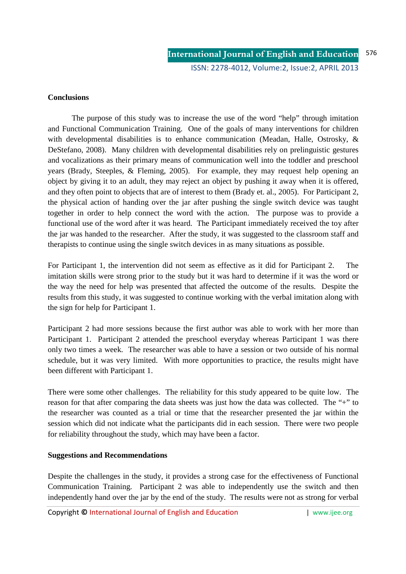### **Conclusions**

 The purpose of this study was to increase the use of the word "help" through imitation and Functional Communication Training. One of the goals of many interventions for children with developmental disabilities is to enhance communication (Meadan, Halle, Ostrosky, & DeStefano, 2008). Many children with developmental disabilities rely on prelinguistic gestures and vocalizations as their primary means of communication well into the toddler and preschool years (Brady, Steeples, & Fleming, 2005). For example, they may request help opening an object by giving it to an adult, they may reject an object by pushing it away when it is offered, and they often point to objects that are of interest to them (Brady et. al., 2005). For Participant 2, the physical action of handing over the jar after pushing the single switch device was taught together in order to help connect the word with the action. The purpose was to provide a functional use of the word after it was heard. The Participant immediately received the toy after the jar was handed to the researcher. After the study, it was suggested to the classroom staff and therapists to continue using the single switch devices in as many situations as possible.

For Participant 1, the intervention did not seem as effective as it did for Participant 2. The imitation skills were strong prior to the study but it was hard to determine if it was the word or the way the need for help was presented that affected the outcome of the results. Despite the results from this study, it was suggested to continue working with the verbal imitation along with the sign for help for Participant 1.

Participant 2 had more sessions because the first author was able to work with her more than Participant 1. Participant 2 attended the preschool everyday whereas Participant 1 was there only two times a week. The researcher was able to have a session or two outside of his normal schedule, but it was very limited. With more opportunities to practice, the results might have been different with Participant 1.

There were some other challenges. The reliability for this study appeared to be quite low. The reason for that after comparing the data sheets was just how the data was collected. The "+" to the researcher was counted as a trial or time that the researcher presented the jar within the session which did not indicate what the participants did in each session. There were two people for reliability throughout the study, which may have been a factor.

# **Suggestions and Recommendations**

Despite the challenges in the study, it provides a strong case for the effectiveness of Functional Communication Training. Participant 2 was able to independently use the switch and then independently hand over the jar by the end of the study. The results were not as strong for verbal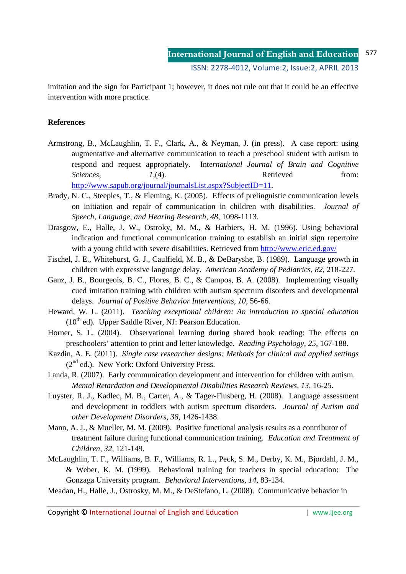imitation and the sign for Participant 1; however, it does not rule out that it could be an effective intervention with more practice.

## **References**

- Armstrong, B., McLaughlin, T. F., Clark, A., & Neyman, J. (in press). A case report: using augmentative and alternative communication to teach a preschool student with autism to respond and request appropriately. Inte*rnational Journal of Brain and Cognitive Sciences, 1*,(4). Retrieved from: http://www.sapub.org/journal/journalsList.aspx?SubjectID=11.
- Brady, N. C., Steeples, T., & Fleming, K. (2005). Effects of prelinguistic communication levels on initiation and repair of communication in children with disabilities. *Journal of Speech, Language, and Hearing Research, 48*, 1098-1113.
- Drasgow, E., Halle, J. W., Ostroky, M. M., & Harbiers, H. M. (1996). Using behavioral indication and functional communication training to establish an initial sign repertoire with a young child with severe disabilities. Retrieved from http://www.eric.ed.gov/
- Fischel, J. E., Whitehurst, G. J., Caulfield, M. B., & DeBaryshe, B. (1989). Language growth in children with expressive language delay. *American Academy of Pediatrics, 82,* 218-227.
- Ganz, J. B., Bourgeois, B. C., Flores, B. C., & Campos, B. A. (2008). Implementing visually cued imitation training with children with autism spectrum disorders and developmental delays. *Journal of Positive Behavior Interventions, 10,* 56-66.
- Heward, W. L. (2011). *Teaching exceptional children: An introduction to special education*   $(10<sup>th</sup>$  ed). Upper Saddle River, NJ: Pearson Education.
- Horner, S. L. (2004). Observational learning during shared book reading: The effects on preschoolers' attention to print and letter knowledge. *Reading Psychology, 25,* 167-188.
- Kazdin, A. E. (2011). *Single case researcher designs: Methods for clinical and applied settings*   $(2^{nd}$  ed.). New York: Oxford University Press.
- Landa, R. (2007). Early communication development and intervention for children with autism. *Mental Retardation and Developmental Disabilities Research Reviews, 13, 16-25.*
- Luyster, R. J., Kadlec, M. B., Carter, A., & Tager-Flusberg, H. (2008). Language assessment and development in toddlers with autism spectrum disorders. *Journal of Autism and other Development Disorders, 38*, 1426-1438.
- Mann, A. J., & Mueller, M. M. (2009). Positive functional analysis results as a contributor of treatment failure during functional communication training. *Education and Treatment of Children, 32,* 121-149.
- McLaughlin, T. F., Williams, B. F., Williams, R. L., Peck, S. M., Derby, K. M., Bjordahl, J. M., & Weber, K. M. (1999). Behavioral training for teachers in special education: The Gonzaga University program. *Behavioral Interventions, 14*, 83-134.
- Meadan, H., Halle, J., Ostrosky, M. M., & DeStefano, L. (2008). Communicative behavior in

Copyright **©** International Journal of English and Education | www.ijee.org